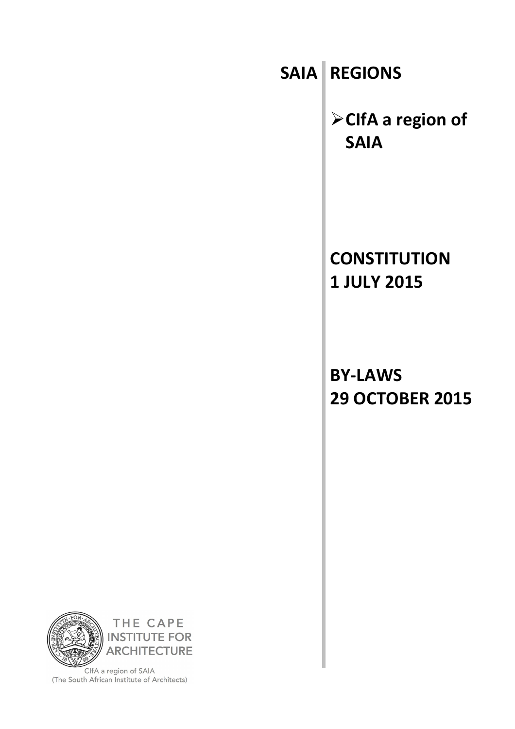**SAIA REGIONS**

➢**CIfA a region of SAIA**

**CONSTITUTION 1 JULY 2015**

**BY-LAWS 29 OCTOBER 2015**



ClfA a region of SAIA (The South African Institute of Architects)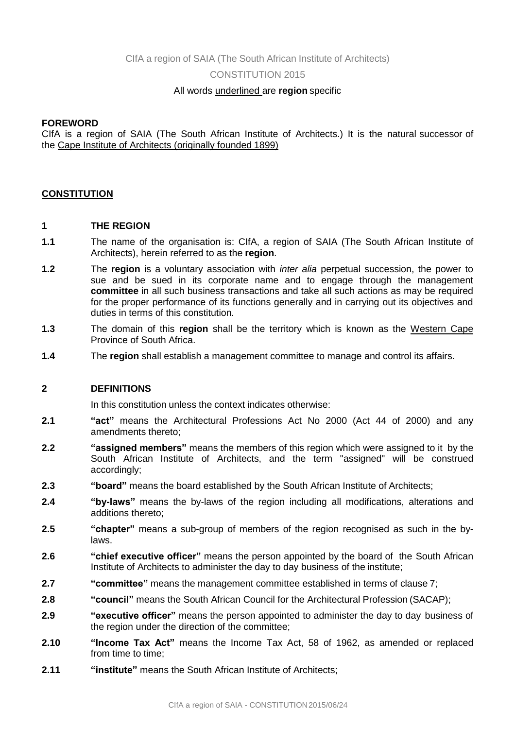CIfA a region of SAIA (The South African Institute of Architects)

CONSTITUTION 2015

## All words underlined are **region** specific

## **FOREWORD**

CIfA is a region of SAIA (The South African Institute of Architects.) It is the natural successor of the Cape Institute of Architects (originally founded 1899)

## **CONSTITUTION**

## **1 THE REGION**

- **1.1** The name of the organisation is: CIfA, a region of SAIA (The South African Institute of Architects), herein referred to as the **region**.
- **1.2** The **region** is a voluntary association with *inter alia* perpetual succession, the power to sue and be sued in its corporate name and to engage through the management **committee** in all such business transactions and take all such actions as may be required for the proper performance of its functions generally and in carrying out its objectives and duties in terms of this constitution.
- **1.3** The domain of this **region** shall be the territory which is known as the Western Cape Province of South Africa.
- **1.4** The **region** shall establish a management committee to manage and control its affairs.

## **2 DEFINITIONS**

In this constitution unless the context indicates otherwise:

- **2.1 "act"** means the Architectural Professions Act No 2000 (Act 44 of 2000) and any amendments thereto;
- **2.2 "assigned members"** means the members of this region which were assigned to it by the South African Institute of Architects, and the term "assigned" will be construed accordingly;
- **2.3 "board"** means the board established by the South African Institute of Architects;
- **2.4 "by-laws"** means the by-laws of the region including all modifications, alterations and additions thereto;
- **2.5 "chapter"** means a sub-group of members of the region recognised as such in the bylaws.
- **2.6 "chief executive officer"** means the person appointed by the board of the South African Institute of Architects to administer the day to day business of the institute;
- **2.7 "committee"** means the management committee established in terms of clause 7;
- **2.8 "council"** means the South African Council for the Architectural Profession (SACAP);
- **2.9 "executive officer"** means the person appointed to administer the day to day business of the region under the direction of the committee;
- **2.10 "Income Tax Act"** means the Income Tax Act, 58 of 1962, as amended or replaced from time to time;
- **2.11 "institute"** means the South African Institute of Architects: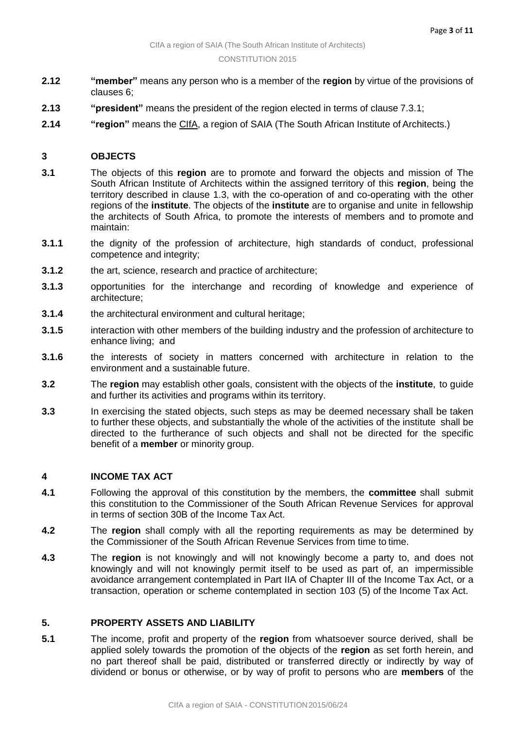- **2.12 "member"** means any person who is a member of the **region** by virtue of the provisions of clauses 6;
- **2.13 "president"** means the president of the region elected in terms of clause 7.3.1;
- **2.14 "region"** means the CIfA, a region of SAIA (The South African Institute of Architects.)

## **3 OBJECTS**

- **3.1** The objects of this **region** are to promote and forward the objects and mission of The South African Institute of Architects within the assigned territory of this **region**, being the territory described in clause 1.3, with the co-operation of and co-operating with the other regions of the **institute**. The objects of the **institute** are to organise and unite in fellowship the architects of South Africa, to promote the interests of members and to promote and maintain:
- **3.1.1** the dignity of the profession of architecture, high standards of conduct, professional competence and integrity;
- **3.1.2** the art, science, research and practice of architecture;
- **3.1.3** opportunities for the interchange and recording of knowledge and experience of architecture;
- **3.1.4** the architectural environment and cultural heritage;
- **3.1.5** interaction with other members of the building industry and the profession of architecture to enhance living; and
- **3.1.6** the interests of society in matters concerned with architecture in relation to the environment and a sustainable future.
- **3.2** The **region** may establish other goals, consistent with the objects of the **institute**, to guide and further its activities and programs within its territory.
- **3.3** In exercising the stated objects, such steps as may be deemed necessary shall be taken to further these objects, and substantially the whole of the activities of the institute shall be directed to the furtherance of such objects and shall not be directed for the specific benefit of a **member** or minority group.

## **4 INCOME TAX ACT**

- **4.1** Following the approval of this constitution by the members, the **committee** shall submit this constitution to the Commissioner of the South African Revenue Services for approval in terms of section 30B of the Income Tax Act.
- **4.2** The **region** shall comply with all the reporting requirements as may be determined by the Commissioner of the South African Revenue Services from time to time.
- **4.3** The **region** is not knowingly and will not knowingly become a party to, and does not knowingly and will not knowingly permit itself to be used as part of, an impermissible avoidance arrangement contemplated in Part IIA of Chapter III of the Income Tax Act, or a transaction, operation or scheme contemplated in section 103 (5) of the Income Tax Act.

## **5. PROPERTY ASSETS AND LIABILITY**

**5.1** The income, profit and property of the **region** from whatsoever source derived, shall be applied solely towards the promotion of the objects of the **region** as set forth herein, and no part thereof shall be paid, distributed or transferred directly or indirectly by way of dividend or bonus or otherwise, or by way of profit to persons who are **members** of the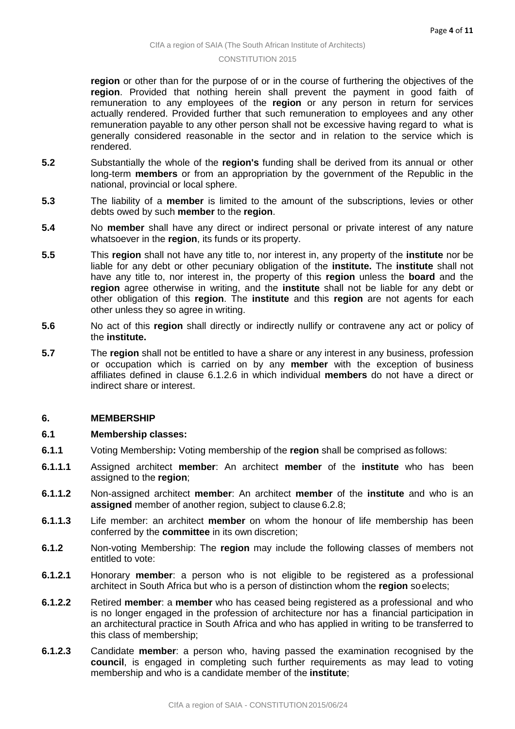**region** or other than for the purpose of or in the course of furthering the objectives of the **region**. Provided that nothing herein shall prevent the payment in good faith of remuneration to any employees of the **region** or any person in return for services actually rendered. Provided further that such remuneration to employees and any other remuneration payable to any other person shall not be excessive having regard to what is generally considered reasonable in the sector and in relation to the service which is rendered.

- **5.2** Substantially the whole of the **region's** funding shall be derived from its annual or other long-term **members** or from an appropriation by the government of the Republic in the national, provincial or local sphere.
- **5.3** The liability of a **member** is limited to the amount of the subscriptions, levies or other debts owed by such **member** to the **region**.
- **5.4** No **member** shall have any direct or indirect personal or private interest of any nature whatsoever in the **region**, its funds or its property.
- **5.5** This **region** shall not have any title to, nor interest in, any property of the **institute** nor be liable for any debt or other pecuniary obligation of the **institute.** The **institute** shall not have any title to, nor interest in, the property of this **region** unless the **board** and the **region** agree otherwise in writing, and the **institute** shall not be liable for any debt or other obligation of this **region**. The **institute** and this **region** are not agents for each other unless they so agree in writing.
- **5.6** No act of this **region** shall directly or indirectly nullify or contravene any act or policy of the **institute.**
- **5.7** The **region** shall not be entitled to have a share or any interest in any business, profession or occupation which is carried on by any **member** with the exception of business affiliates defined in clause 6.1.2.6 in which individual **members** do not have a direct or indirect share or interest.

## **6. MEMBERSHIP**

## **6.1 Membership classes:**

- **6.1.1** Voting Membership**:** Voting membership of the **region** shall be comprised as follows:
- **6.1.1.1** Assigned architect **member**: An architect **member** of the **institute** who has been assigned to the **region**;
- **6.1.1.2** Non-assigned architect **member**: An architect **member** of the **institute** and who is an **assigned** member of another region, subject to clause 6.2.8;
- **6.1.1.3** Life member: an architect **member** on whom the honour of life membership has been conferred by the **committee** in its own discretion;
- **6.1.2** Non-voting Membership: The **region** may include the following classes of members not entitled to vote:
- **6.1.2.1** Honorary **member**: a person who is not eligible to be registered as a professional architect in South Africa but who is a person of distinction whom the **region** soelects;
- **6.1.2.2** Retired **member**: a **member** who has ceased being registered as a professional and who is no longer engaged in the profession of architecture nor has a financial participation in an architectural practice in South Africa and who has applied in writing to be transferred to this class of membership;
- **6.1.2.3** Candidate **member**: a person who, having passed the examination recognised by the **council**, is engaged in completing such further requirements as may lead to voting membership and who is a candidate member of the **institute**;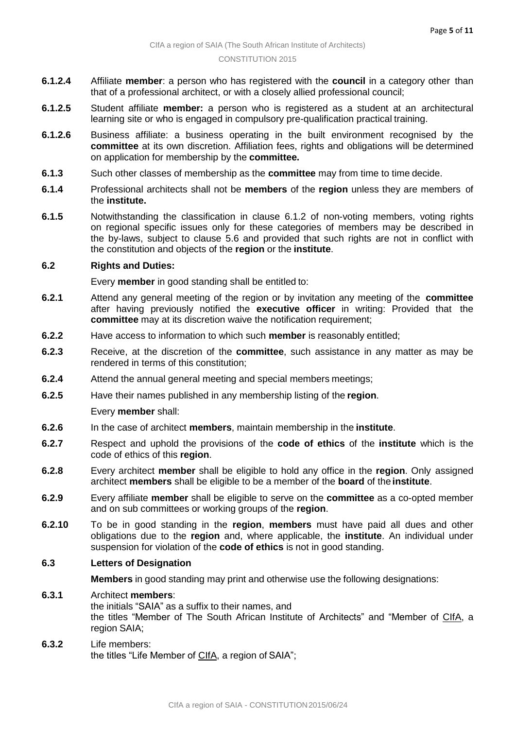- **6.1.2.4** Affiliate **member**: a person who has registered with the **council** in a category other than that of a professional architect, or with a closely allied professional council;
- **6.1.2.5** Student affiliate **member:** a person who is registered as a student at an architectural learning site or who is engaged in compulsory pre-qualification practical training.
- **6.1.2.6** Business affiliate: a business operating in the built environment recognised by the **committee** at its own discretion. Affiliation fees, rights and obligations will be determined on application for membership by the **committee.**
- **6.1.3** Such other classes of membership as the **committee** may from time to time decide.
- **6.1.4** Professional architects shall not be **members** of the **region** unless they are members of the **institute.**
- **6.1.5** Notwithstanding the classification in clause 6.1.2 of non-voting members, voting rights on regional specific issues only for these categories of members may be described in the by-laws, subject to clause 5.6 and provided that such rights are not in conflict with the constitution and objects of the **region** or the **institute**.

## **6.2 Rights and Duties:**

Every **member** in good standing shall be entitled to:

- **6.2.1** Attend any general meeting of the region or by invitation any meeting of the **committee**  after having previously notified the **executive officer** in writing: Provided that the **committee** may at its discretion waive the notification requirement;
- **6.2.2** Have access to information to which such **member** is reasonably entitled;
- **6.2.3** Receive, at the discretion of the **committee**, such assistance in any matter as may be rendered in terms of this constitution;
- **6.2.4** Attend the annual general meeting and special members meetings;
- **6.2.5** Have their names published in any membership listing of the **region**.

Every **member** shall:

- **6.2.6** In the case of architect **members**, maintain membership in the **institute**.
- **6.2.7** Respect and uphold the provisions of the **code of ethics** of the **institute** which is the code of ethics of this **region**.
- **6.2.8** Every architect **member** shall be eligible to hold any office in the **region**. Only assigned architect **members** shall be eligible to be a member of the **board** of the **institute**.
- **6.2.9** Every affiliate **member** shall be eligible to serve on the **committee** as a co-opted member and on sub committees or working groups of the **region**.
- **6.2.10** To be in good standing in the **region**, **members** must have paid all dues and other obligations due to the **region** and, where applicable, the **institute**. An individual under suspension for violation of the **code of ethics** is not in good standing.

# **6.3 Letters of Designation**

**Members** in good standing may print and otherwise use the following designations:

**6.3.1** Architect **members**:

the initials "SAIA" as a suffix to their names, and the titles "Member of The South African Institute of Architects" and "Member of CIfA, a region SAIA;

## **6.3.2** Life members: the titles "Life Member of CIfA, a region of SAIA";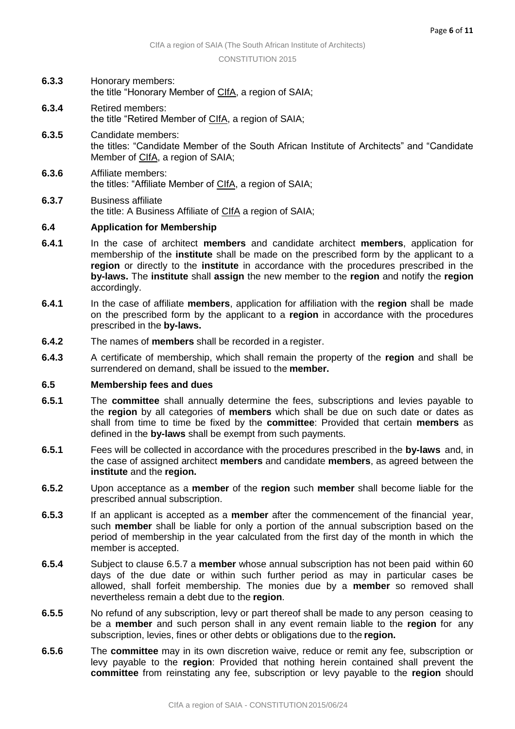- **6.3.3** Honorary members: the title "Honorary Member of CIfA, a region of SAIA;
- **6.3.4** Retired members: the title "Retired Member of CIfA, a region of SAIA;
- **6.3.5** Candidate members: the titles: "Candidate Member of the South African Institute of Architects" and "Candidate Member of CIfA, a region of SAIA;
- **6.3.6** Affiliate members: the titles: "Affiliate Member of CIfA, a region of SAIA;
- **6.3.7** Business affiliate the title: A Business Affiliate of CIfA a region of SAIA;

## **6.4 Application for Membership**

- **6.4.1** In the case of architect **members** and candidate architect **members**, application for membership of the **institute** shall be made on the prescribed form by the applicant to a **region** or directly to the **institute** in accordance with the procedures prescribed in the **by-laws.** The **institute** shall **assign** the new member to the **region** and notify the **region** accordingly.
- **6.4.1** In the case of affiliate **members**, application for affiliation with the **region** shall be made on the prescribed form by the applicant to a **region** in accordance with the procedures prescribed in the **by-laws.**
- **6.4.2** The names of **members** shall be recorded in a register.
- **6.4.3** A certificate of membership, which shall remain the property of the **region** and shall be surrendered on demand, shall be issued to the **member.**

## **6.5 Membership fees and dues**

- **6.5.1** The **committee** shall annually determine the fees, subscriptions and levies payable to the **region** by all categories of **members** which shall be due on such date or dates as shall from time to time be fixed by the **committee**: Provided that certain **members** as defined in the **by-laws** shall be exempt from such payments.
- **6.5.1** Fees will be collected in accordance with the procedures prescribed in the **by-laws** and, in the case of assigned architect **members** and candidate **members**, as agreed between the **institute** and the **region.**
- **6.5.2** Upon acceptance as a **member** of the **region** such **member** shall become liable for the prescribed annual subscription.
- **6.5.3** If an applicant is accepted as a **member** after the commencement of the financial year, such **member** shall be liable for only a portion of the annual subscription based on the period of membership in the year calculated from the first day of the month in which the member is accepted.
- **6.5.4** Subject to clause 6.5.7 a **member** whose annual subscription has not been paid within 60 days of the due date or within such further period as may in particular cases be allowed, shall forfeit membership. The monies due by a **member** so removed shall nevertheless remain a debt due to the **region**.
- **6.5.5** No refund of any subscription, levy or part thereof shall be made to any person ceasing to be a **member** and such person shall in any event remain liable to the **region** for any subscription, levies, fines or other debts or obligations due to the **region.**
- **6.5.6** The **committee** may in its own discretion waive, reduce or remit any fee, subscription or levy payable to the **region**: Provided that nothing herein contained shall prevent the **committee** from reinstating any fee, subscription or levy payable to the **region** should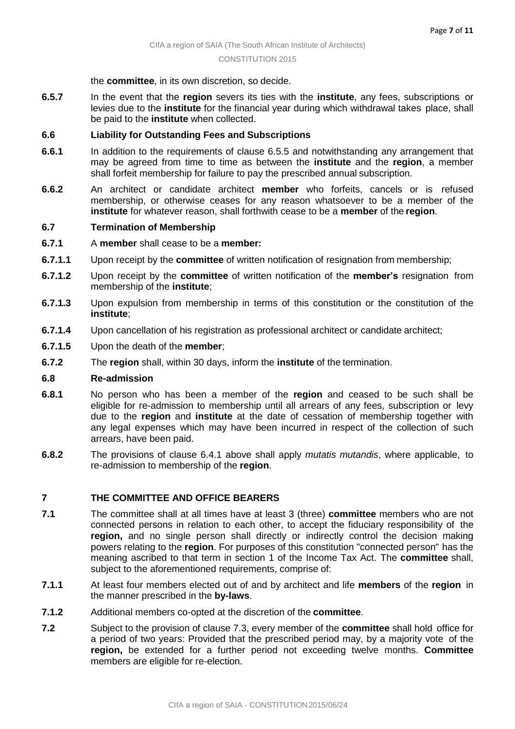#### the **committee**, in its own discretion, so decide.

**6.5.7** In the event that the **region** severs its ties with the **institute**, any fees, subscriptions or levies due to the **institute** for the financial year during which withdrawal takes place, shall be paid to the **institute** when collected.

## **6.6 Liability for Outstanding Fees and Subscriptions**

- **6.6.1** In addition to the requirements of clause 6.5.5 and notwithstanding any arrangement that may be agreed from time to time as between the **institute** and the **region**, a member shall forfeit membership for failure to pay the prescribed annual subscription.
- **6.6.2** An architect or candidate architect **member** who forfeits, cancels or is refused membership, or otherwise ceases for any reason whatsoever to be a member of the **institute** for whatever reason, shall forthwith cease to be a **member** of the **region**.

## **6.7 Termination of Membership**

- **6.7.1** A **member** shall cease to be a **member:**
- **6.7.1.1** Upon receipt by the **committee** of written notification of resignation from membership;
- **6.7.1.2** Upon receipt by the **committee** of written notification of the **member's** resignation from membership of the **institute**;
- **6.7.1.3** Upon expulsion from membership in terms of this constitution or the constitution of the **institute**;
- **6.7.1.4** Upon cancellation of his registration as professional architect or candidate architect;
- **6.7.1.5** Upon the death of the **member**;
- **6.7.2** The **region** shall, within 30 days, inform the **institute** of the termination.

## **6.8 Re-admission**

- **6.8.1** No person who has been a member of the **region** and ceased to be such shall be eligible for re-admission to membership until all arrears of any fees, subscription or levy due to the **region** and **institute** at the date of cessation of membership together with any legal expenses which may have been incurred in respect of the collection of such arrears, have been paid.
- **6.8.2** The provisions of clause 6.4.1 above shall apply *mutatis mutandis*, where applicable, to re-admission to membership of the **region**.

## **7 THE COMMITTEE AND OFFICE BEARERS**

- **7.1** The committee shall at all times have at least 3 (three) **committee** members who are not connected persons in relation to each other, to accept the fiduciary responsibility of the **region,** and no single person shall directly or indirectly control the decision making powers relating to the **region**. For purposes of this constitution "connected person" has the meaning ascribed to that term in section 1 of the Income Tax Act. The **committee** shall, subject to the aforementioned requirements, comprise of:
- **7.1.1** At least four members elected out of and by architect and life **members** of the **region** in the manner prescribed in the **by-laws**.
- **7.1.2** Additional members co-opted at the discretion of the **committee**.
- **7.2** Subject to the provision of clause 7.3, every member of the **committee** shall hold office for a period of two years: Provided that the prescribed period may, by a majority vote of the **region,** be extended for a further period not exceeding twelve months. **Committee** members are eligible for re-election.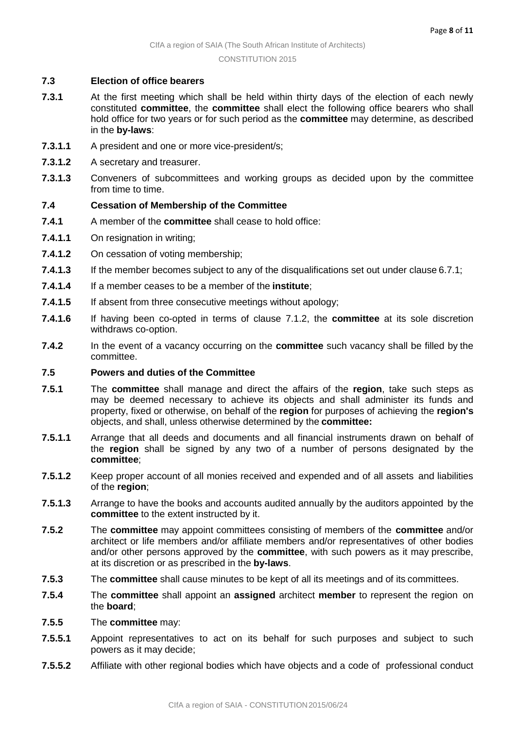## **7.3 Election of office bearers**

- **7.3.1** At the first meeting which shall be held within thirty days of the election of each newly constituted **committee**, the **committee** shall elect the following office bearers who shall hold office for two years or for such period as the **committee** may determine, as described in the **by-laws**:
- **7.3.1.1** A president and one or more vice-president/s;
- **7.3.1.2** A secretary and treasurer.
- **7.3.1.3** Conveners of subcommittees and working groups as decided upon by the committee from time to time.

## **7.4 Cessation of Membership of the Committee**

- **7.4.1** A member of the **committee** shall cease to hold office:
- **7.4.1.1** On resignation in writing;
- **7.4.1.2** On cessation of voting membership;
- **7.4.1.3** If the member becomes subject to any of the disqualifications set out under clause 6.7.1;
- **7.4.1.4** If a member ceases to be a member of the **institute**;
- **7.4.1.5** If absent from three consecutive meetings without apology;
- **7.4.1.6** If having been co-opted in terms of clause 7.1.2, the **committee** at its sole discretion withdraws co-option.
- **7.4.2** In the event of a vacancy occurring on the **committee** such vacancy shall be filled by the committee.

## **7.5 Powers and duties of the Committee**

- **7.5.1** The **committee** shall manage and direct the affairs of the **region**, take such steps as may be deemed necessary to achieve its objects and shall administer its funds and property, fixed or otherwise, on behalf of the **region** for purposes of achieving the **region's**  objects, and shall, unless otherwise determined by the **committee:**
- **7.5.1.1** Arrange that all deeds and documents and all financial instruments drawn on behalf of the **region** shall be signed by any two of a number of persons designated by the **committee**;
- **7.5.1.2** Keep proper account of all monies received and expended and of all assets and liabilities of the **region**;
- **7.5.1.3** Arrange to have the books and accounts audited annually by the auditors appointed by the **committee** to the extent instructed by it.
- **7.5.2** The **committee** may appoint committees consisting of members of the **committee** and/or architect or life members and/or affiliate members and/or representatives of other bodies and/or other persons approved by the **committee**, with such powers as it may prescribe, at its discretion or as prescribed in the **by-laws**.
- **7.5.3** The **committee** shall cause minutes to be kept of all its meetings and of its committees.
- **7.5.4** The **committee** shall appoint an **assigned** architect **member** to represent the region on the **board**;
- **7.5.5** The **committee** may:
- **7.5.5.1** Appoint representatives to act on its behalf for such purposes and subject to such powers as it may decide;
- **7.5.5.2** Affiliate with other regional bodies which have objects and a code of professional conduct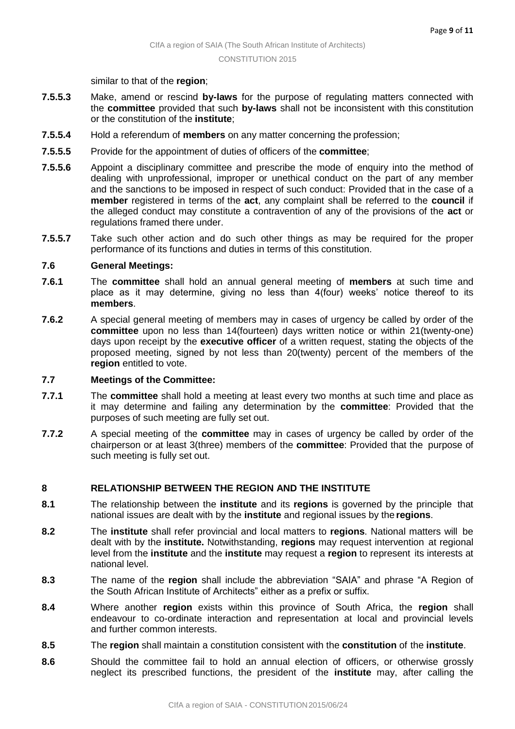similar to that of the **region**;

- **7.5.5.3** Make, amend or rescind **by-laws** for the purpose of regulating matters connected with the **committee** provided that such **by-laws** shall not be inconsistent with this constitution or the constitution of the **institute**;
- **7.5.5.4** Hold a referendum of **members** on any matter concerning the profession;
- **7.5.5.5** Provide for the appointment of duties of officers of the **committee**;
- **7.5.5.6** Appoint a disciplinary committee and prescribe the mode of enquiry into the method of dealing with unprofessional, improper or unethical conduct on the part of any member and the sanctions to be imposed in respect of such conduct: Provided that in the case of a **member** registered in terms of the **act**, any complaint shall be referred to the **council** if the alleged conduct may constitute a contravention of any of the provisions of the **act** or regulations framed there under.
- **7.5.5.7** Take such other action and do such other things as may be required for the proper performance of its functions and duties in terms of this constitution.

## **7.6 General Meetings:**

- **7.6.1** The **committee** shall hold an annual general meeting of **members** at such time and place as it may determine, giving no less than 4(four) weeks' notice thereof to its **members**.
- **7.6.2** A special general meeting of members may in cases of urgency be called by order of the **committee** upon no less than 14(fourteen) days written notice or within 21(twenty-one) days upon receipt by the **executive officer** of a written request, stating the objects of the proposed meeting, signed by not less than 20(twenty) percent of the members of the **region** entitled to vote.

## **7.7 Meetings of the Committee:**

- **7.7.1** The **committee** shall hold a meeting at least every two months at such time and place as it may determine and failing any determination by the **committee**: Provided that the purposes of such meeting are fully set out.
- **7.7.2** A special meeting of the **committee** may in cases of urgency be called by order of the chairperson or at least 3(three) members of the **committee**: Provided that the purpose of such meeting is fully set out.

## **8 RELATIONSHIP BETWEEN THE REGION AND THE INSTITUTE**

- **8.1** The relationship between the **institute** and its **regions** is governed by the principle that national issues are dealt with by the **institute** and regional issues by the **regions**.
- **8.2** The **institute** shall refer provincial and local matters to **regions**. National matters will be dealt with by the **institute.** Notwithstanding, **regions** may request intervention at regional level from the **institute** and the **institute** may request a **region** to represent its interests at national level.
- **8.3** The name of the **region** shall include the abbreviation "SAIA" and phrase "A Region of the South African Institute of Architects" either as a prefix or suffix.
- **8.4** Where another **region** exists within this province of South Africa, the **region** shall endeavour to co-ordinate interaction and representation at local and provincial levels and further common interests.
- **8.5** The **region** shall maintain a constitution consistent with the **constitution** of the **institute**.
- **8.6** Should the committee fail to hold an annual election of officers, or otherwise grossly neglect its prescribed functions, the president of the **institute** may, after calling the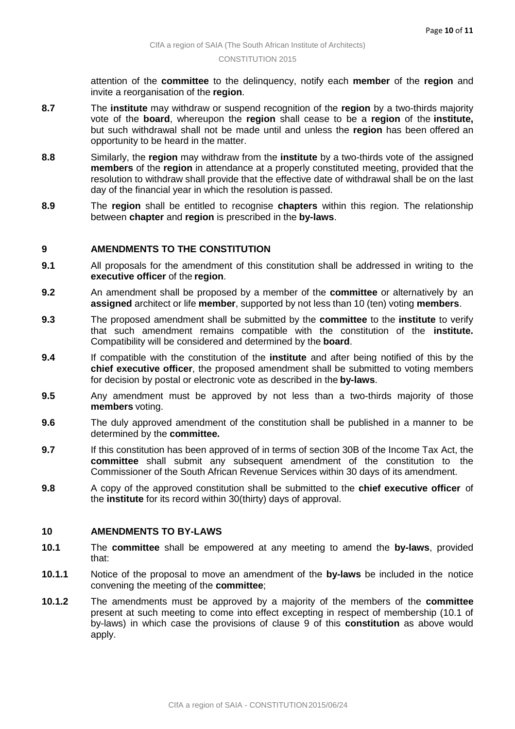attention of the **committee** to the delinquency, notify each **member** of the **region** and invite a reorganisation of the **region**.

- **8.7** The **institute** may withdraw or suspend recognition of the **region** by a two-thirds majority vote of the **board**, whereupon the **region** shall cease to be a **region** of the **institute,** but such withdrawal shall not be made until and unless the **region** has been offered an opportunity to be heard in the matter.
- **8.8** Similarly, the **region** may withdraw from the **institute** by a two-thirds vote of the assigned **members** of the **region** in attendance at a properly constituted meeting, provided that the resolution to withdraw shall provide that the effective date of withdrawal shall be on the last day of the financial year in which the resolution is passed.
- **8.9** The **region** shall be entitled to recognise **chapters** within this region. The relationship between **chapter** and **region** is prescribed in the **by-laws**.

## **9 AMENDMENTS TO THE CONSTITUTION**

- **9.1** All proposals for the amendment of this constitution shall be addressed in writing to the **executive officer** of the **region**.
- **9.2** An amendment shall be proposed by a member of the **committee** or alternatively by an **assigned** architect or life **member**, supported by not less than 10 (ten) voting **members**.
- **9.3** The proposed amendment shall be submitted by the **committee** to the **institute** to verify that such amendment remains compatible with the constitution of the **institute.**  Compatibility will be considered and determined by the **board**.
- **9.4** If compatible with the constitution of the **institute** and after being notified of this by the **chief executive officer**, the proposed amendment shall be submitted to voting members for decision by postal or electronic vote as described in the **by-laws**.
- **9.5** Any amendment must be approved by not less than a two-thirds majority of those **members** voting.
- **9.6** The duly approved amendment of the constitution shall be published in a manner to be determined by the **committee.**
- **9.7** If this constitution has been approved of in terms of section 30B of the Income Tax Act, the **committee** shall submit any subsequent amendment of the constitution to the Commissioner of the South African Revenue Services within 30 days of its amendment.
- **9.8** A copy of the approved constitution shall be submitted to the **chief executive officer** of the **institute** for its record within 30(thirty) days of approval.

## **10 AMENDMENTS TO BY-LAWS**

- **10.1** The **committee** shall be empowered at any meeting to amend the **by-laws**, provided that:
- **10.1.1** Notice of the proposal to move an amendment of the **by-laws** be included in the notice convening the meeting of the **committee**;
- **10.1.2** The amendments must be approved by a majority of the members of the **committee** present at such meeting to come into effect excepting in respect of membership (10.1 of by-laws) in which case the provisions of clause 9 of this **constitution** as above would apply.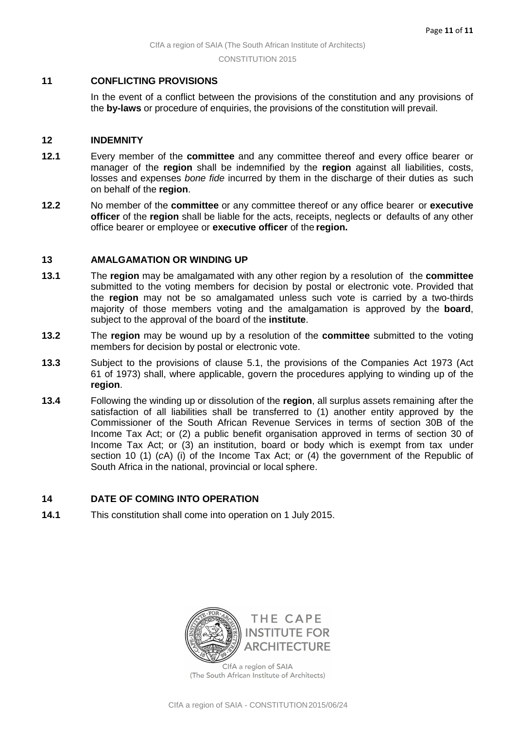## **11 CONFLICTING PROVISIONS**

In the event of a conflict between the provisions of the constitution and any provisions of the **by-laws** or procedure of enquiries, the provisions of the constitution will prevail.

## **12 INDEMNITY**

- **12.1** Every member of the **committee** and any committee thereof and every office bearer or manager of the **region** shall be indemnified by the **region** against all liabilities, costs, losses and expenses *bone fide* incurred by them in the discharge of their duties as such on behalf of the **region**.
- **12.2** No member of the **committee** or any committee thereof or any office bearer or **executive officer** of the **region** shall be liable for the acts, receipts, neglects or defaults of any other office bearer or employee or **executive officer** of the **region.**

#### **13 AMALGAMATION OR WINDING UP**

- **13.1** The **region** may be amalgamated with any other region by a resolution of the **committee** submitted to the voting members for decision by postal or electronic vote. Provided that the **region** may not be so amalgamated unless such vote is carried by a two-thirds majority of those members voting and the amalgamation is approved by the **board**, subject to the approval of the board of the **institute**.
- **13.2** The **region** may be wound up by a resolution of the **committee** submitted to the voting members for decision by postal or electronic vote.
- **13.3** Subject to the provisions of clause 5.1, the provisions of the Companies Act 1973 (Act 61 of 1973) shall, where applicable, govern the procedures applying to winding up of the **region**.
- **13.4** Following the winding up or dissolution of the **region**, all surplus assets remaining after the satisfaction of all liabilities shall be transferred to (1) another entity approved by the Commissioner of the South African Revenue Services in terms of section 30B of the Income Tax Act; or (2) a public benefit organisation approved in terms of section 30 of Income Tax Act; or (3) an institution, board or body which is exempt from tax under section 10 (1) (*c*A) (i) of the Income Tax Act; or (4) the government of the Republic of South Africa in the national, provincial or local sphere.

## **14 DATE OF COMING INTO OPERATION**

**14.1** This constitution shall come into operation on 1 July 2015.



ClfA a region of SAIA (The South African Institute of Architects)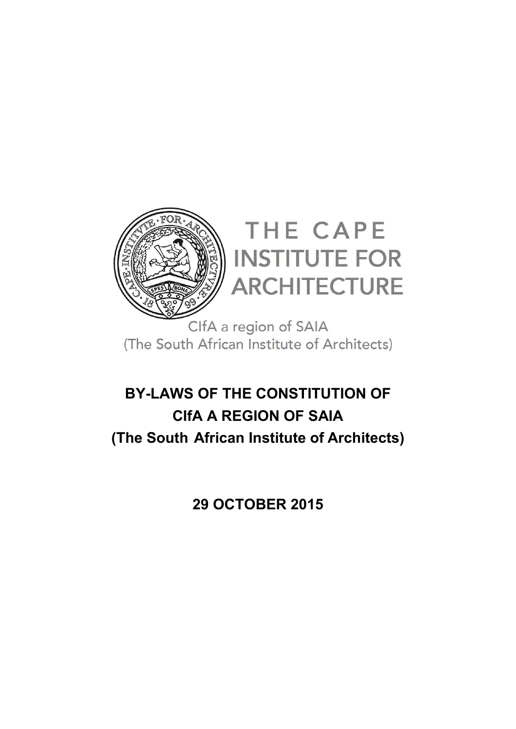

ClfA a region of SAIA (The South African Institute of Architects)

# **BY-LAWS OF THE CONSTITUTION OF CIfA A REGION OF SAIA (The South African Institute of Architects)**

**29 OCTOBER 2015**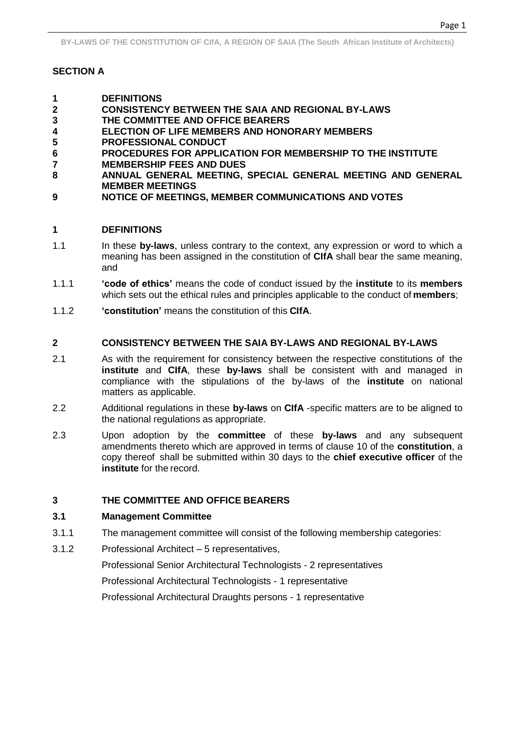**BY-LAWS OF THE CONSTITUTION OF CIfA, A REGION OF SAIA (The South African Institute of Architects)**

# **SECTION A**

- **1 DEFINITIONS**
- **2 CONSISTENCY BETWEEN THE SAIA AND REGIONAL BY-LAWS**
- **3 THE COMMITTEE AND OFFICE BEARERS**
- **4 ELECTION OF LIFE MEMBERS AND HONORARY MEMBERS**
- **5 PROFESSIONAL CONDUCT**
- **6 PROCEDURES FOR APPLICATION FOR MEMBERSHIP TO THE INSTITUTE**
- **7 MEMBERSHIP FEES AND DUES 8 ANNUAL GENERAL MEETING, SPECIAL GENERAL MEETING AND GENERAL MEMBER MEETINGS**
- **9 NOTICE OF MEETINGS, MEMBER COMMUNICATIONS AND VOTES**

## **1 DEFINITIONS**

- 1.1 In these **by-laws**, unless contrary to the context, any expression or word to which a meaning has been assigned in the constitution of **CIfA** shall bear the same meaning, and
- 1.1.1 **'code of ethics'** means the code of conduct issued by the **institute** to its **members** which sets out the ethical rules and principles applicable to the conduct of **members**;
- 1.1.2 **'constitution'** means the constitution of this **CIfA**.

## **2 CONSISTENCY BETWEEN THE SAIA BY-LAWS AND REGIONAL BY-LAWS**

- 2.1 As with the requirement for consistency between the respective constitutions of the **institute** and **CIfA**, these **by-laws** shall be consistent with and managed in compliance with the stipulations of the by-laws of the **institute** on national matters as applicable.
- 2.2 Additional regulations in these **by-laws** on **CIfA** -specific matters are to be aligned to the national regulations as appropriate.
- 2.3 Upon adoption by the **committee** of these **by-laws** and any subsequent amendments thereto which are approved in terms of clause 10 of the **constitution**, a copy thereof shall be submitted within 30 days to the **chief executive officer** of the **institute** for the record.

## **3 THE COMMITTEE AND OFFICE BEARERS**

## **3.1 Management Committee**

- 3.1.1 The management committee will consist of the following membership categories:
- 3.1.2 Professional Architect 5 representatives,

Professional Senior Architectural Technologists - 2 representatives

Professional Architectural Technologists - 1 representative

Professional Architectural Draughts persons - 1 representative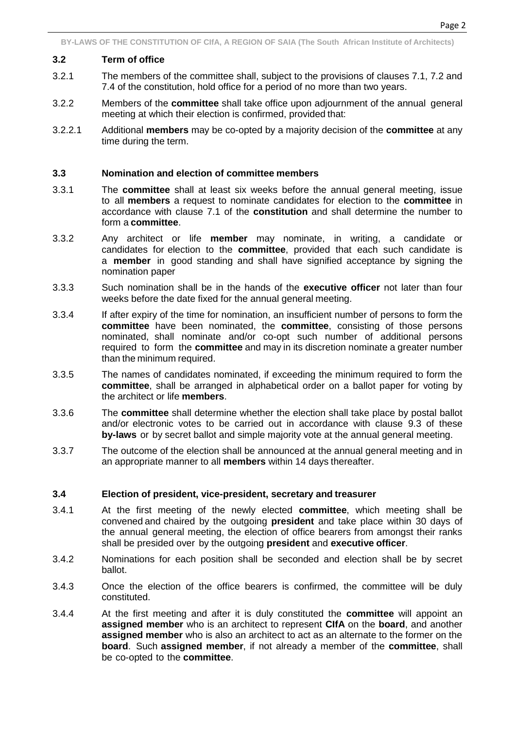## **3.2 Term of office**

- 3.2.1 The members of the committee shall, subject to the provisions of clauses 7.1, 7.2 and 7.4 of the constitution, hold office for a period of no more than two years.
- 3.2.2 Members of the **committee** shall take office upon adjournment of the annual general meeting at which their election is confirmed, provided that:
- 3.2.2.1 Additional **members** may be co-opted by a majority decision of the **committee** at any time during the term.

## **3.3 Nomination and election of committee members**

- 3.3.1 The **committee** shall at least six weeks before the annual general meeting, issue to all **members** a request to nominate candidates for election to the **committee** in accordance with clause 7.1 of the **constitution** and shall determine the number to form a **committee**.
- 3.3.2 Any architect or life **member** may nominate, in writing, a candidate or candidates for election to the **committee**, provided that each such candidate is a **member** in good standing and shall have signified acceptance by signing the nomination paper
- 3.3.3 Such nomination shall be in the hands of the **executive officer** not later than four weeks before the date fixed for the annual general meeting.
- 3.3.4 If after expiry of the time for nomination, an insufficient number of persons to form the **committee** have been nominated, the **committee**, consisting of those persons nominated, shall nominate and/or co-opt such number of additional persons required to form the **committee** and may in its discretion nominate a greater number than the minimum required.
- 3.3.5 The names of candidates nominated, if exceeding the minimum required to form the **committee**, shall be arranged in alphabetical order on a ballot paper for voting by the architect or life **members**.
- 3.3.6 The **committee** shall determine whether the election shall take place by postal ballot and/or electronic votes to be carried out in accordance with clause 9.3 of these **by-laws** or by secret ballot and simple majority vote at the annual general meeting.
- 3.3.7 The outcome of the election shall be announced at the annual general meeting and in an appropriate manner to all **members** within 14 days thereafter.

## **3.4 Election of president, vice-president, secretary and treasurer**

- 3.4.1 At the first meeting of the newly elected **committee**, which meeting shall be convened and chaired by the outgoing **president** and take place within 30 days of the annual general meeting, the election of office bearers from amongst their ranks shall be presided over by the outgoing **president** and **executive officer**.
- 3.4.2 Nominations for each position shall be seconded and election shall be by secret ballot.
- 3.4.3 Once the election of the office bearers is confirmed, the committee will be duly constituted.
- 3.4.4 At the first meeting and after it is duly constituted the **committee** will appoint an **assigned member** who is an architect to represent **CIfA** on the **board**, and another **assigned member** who is also an architect to act as an alternate to the former on the **board**. Such **assigned member**, if not already a member of the **committee**, shall be co-opted to the **committee**.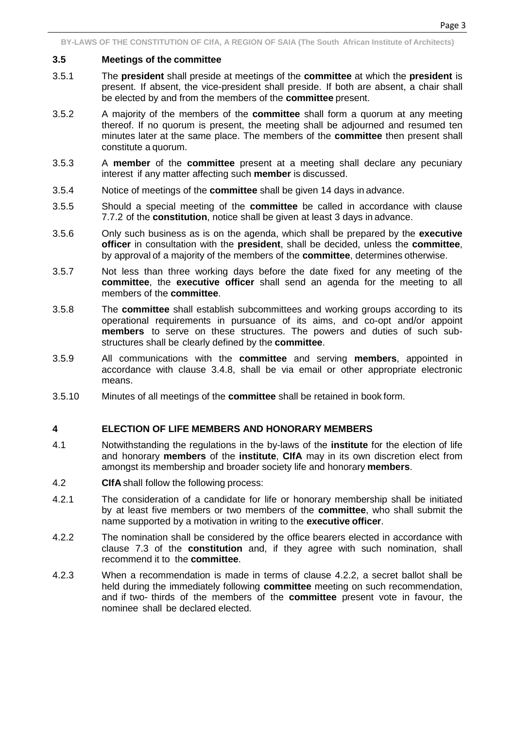Page 3

# **3.5 Meetings of the committee**

- 3.5.1 The **president** shall preside at meetings of the **committee** at which the **president** is present. If absent, the vice-president shall preside. If both are absent, a chair shall be elected by and from the members of the **committee** present.
- 3.5.2 A majority of the members of the **committee** shall form a quorum at any meeting thereof. If no quorum is present, the meeting shall be adjourned and resumed ten minutes later at the same place. The members of the **committee** then present shall constitute a quorum.
- 3.5.3 A **member** of the **committee** present at a meeting shall declare any pecuniary interest if any matter affecting such **member** is discussed.
- 3.5.4 Notice of meetings of the **committee** shall be given 14 days in advance.
- 3.5.5 Should a special meeting of the **committee** be called in accordance with clause 7.7.2 of the **constitution**, notice shall be given at least 3 days in advance.
- 3.5.6 Only such business as is on the agenda, which shall be prepared by the **executive officer** in consultation with the **president**, shall be decided, unless the **committee**, by approval of a majority of the members of the **committee**, determines otherwise.
- 3.5.7 Not less than three working days before the date fixed for any meeting of the **committee**, the **executive officer** shall send an agenda for the meeting to all members of the **committee**.
- 3.5.8 The **committee** shall establish subcommittees and working groups according to its operational requirements in pursuance of its aims, and co-opt and/or appoint **members** to serve on these structures. The powers and duties of such substructures shall be clearly defined by the **committee**.
- 3.5.9 All communications with the **committee** and serving **members**, appointed in accordance with clause 3.4.8, shall be via email or other appropriate electronic means.
- 3.5.10 Minutes of all meetings of the **committee** shall be retained in book form.

# **4 ELECTION OF LIFE MEMBERS AND HONORARY MEMBERS**

- 4.1 Notwithstanding the regulations in the by-laws of the **institute** for the election of life and honorary **members** of the **institute**, **CIfA** may in its own discretion elect from amongst its membership and broader society life and honorary **members**.
- 4.2 **CIfA** shall follow the following process:
- 4.2.1 The consideration of a candidate for life or honorary membership shall be initiated by at least five members or two members of the **committee**, who shall submit the name supported by a motivation in writing to the **executive officer**.
- 4.2.2 The nomination shall be considered by the office bearers elected in accordance with clause 7.3 of the **constitution** and, if they agree with such nomination, shall recommend it to the **committee**.
- 4.2.3 When a recommendation is made in terms of clause 4.2.2, a secret ballot shall be held during the immediately following **committee** meeting on such recommendation, and if two- thirds of the members of the **committee** present vote in favour, the nominee shall be declared elected.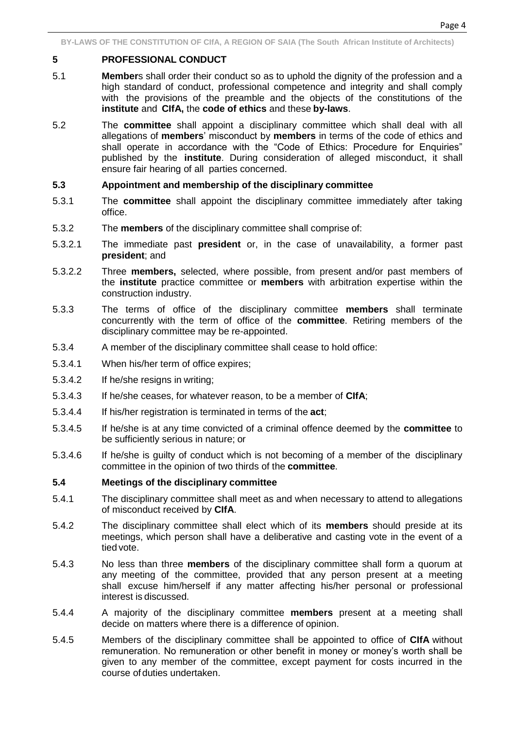# **5 PROFESSIONAL CONDUCT**

- 5.1 **Member**s shall order their conduct so as to uphold the dignity of the profession and a high standard of conduct, professional competence and integrity and shall comply with the provisions of the preamble and the objects of the constitutions of the **institute** and **CIfA,** the **code of ethics** and these **by-laws**.
- 5.2 The **committee** shall appoint a disciplinary committee which shall deal with all allegations of **members**' misconduct by **members** in terms of the code of ethics and shall operate in accordance with the "Code of Ethics: Procedure for Enquiries" published by the **institute**. During consideration of alleged misconduct, it shall ensure fair hearing of all parties concerned.

# **5.3 Appointment and membership of the disciplinary committee**

- 5.3.1 The **committee** shall appoint the disciplinary committee immediately after taking office.
- 5.3.2 The **members** of the disciplinary committee shall comprise of:
- 5.3.2.1 The immediate past **president** or, in the case of unavailability, a former past **president**; and
- 5.3.2.2 Three **members,** selected, where possible, from present and/or past members of the **institute** practice committee or **members** with arbitration expertise within the construction industry.
- 5.3.3 The terms of office of the disciplinary committee **members** shall terminate concurrently with the term of office of the **committee**. Retiring members of the disciplinary committee may be re-appointed.
- 5.3.4 A member of the disciplinary committee shall cease to hold office:
- 5.3.4.1 When his/her term of office expires;
- 5.3.4.2 If he/she resigns in writing;
- 5.3.4.3 If he/she ceases, for whatever reason, to be a member of **CIfA**;
- 5.3.4.4 If his/her registration is terminated in terms of the **act**;
- 5.3.4.5 If he/she is at any time convicted of a criminal offence deemed by the **committee** to be sufficiently serious in nature; or
- 5.3.4.6 If he/she is guilty of conduct which is not becoming of a member of the disciplinary committee in the opinion of two thirds of the **committee**.

# **5.4 Meetings of the disciplinary committee**

- 5.4.1 The disciplinary committee shall meet as and when necessary to attend to allegations of misconduct received by **CIfA**.
- 5.4.2 The disciplinary committee shall elect which of its **members** should preside at its meetings, which person shall have a deliberative and casting vote in the event of a tied vote.
- 5.4.3 No less than three **members** of the disciplinary committee shall form a quorum at any meeting of the committee, provided that any person present at a meeting shall excuse him/herself if any matter affecting his/her personal or professional interest is discussed.
- 5.4.4 A majority of the disciplinary committee **members** present at a meeting shall decide on matters where there is a difference of opinion.
- 5.4.5 Members of the disciplinary committee shall be appointed to office of **CIfA** without remuneration. No remuneration or other benefit in money or money's worth shall be given to any member of the committee, except payment for costs incurred in the course of duties undertaken.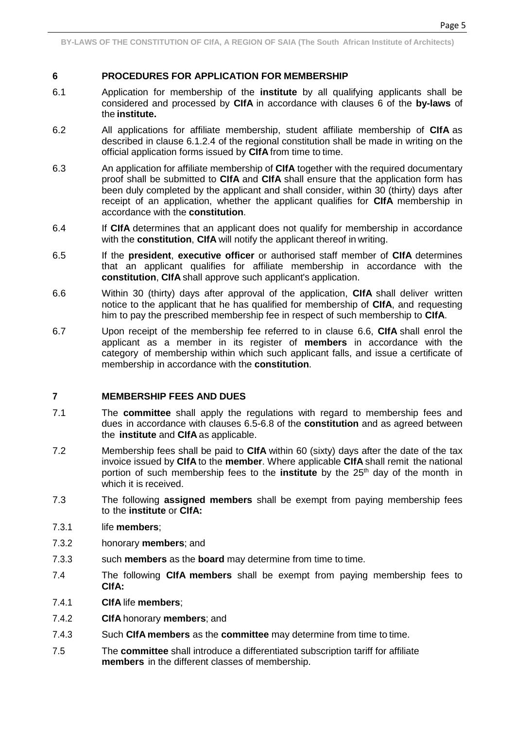Page 5

# **6 PROCEDURES FOR APPLICATION FOR MEMBERSHIP**

- 6.1 Application for membership of the **institute** by all qualifying applicants shall be considered and processed by **CIfA** in accordance with clauses 6 of the **by-laws** of the **institute.**
- 6.2 All applications for affiliate membership, student affiliate membership of **CIfA** as described in clause 6.1.2.4 of the regional constitution shall be made in writing on the official application forms issued by **CIfA** from time to time.
- 6.3 An application for affiliate membership of **CIfA** together with the required documentary proof shall be submitted to **CIfA** and **CIfA** shall ensure that the application form has been duly completed by the applicant and shall consider, within 30 (thirty) days after receipt of an application, whether the applicant qualifies for **CIfA** membership in accordance with the **constitution**.
- 6.4 If **CIfA** determines that an applicant does not qualify for membership in accordance with the **constitution**, **CIfA** will notify the applicant thereof in writing.
- 6.5 If the **president**, **executive officer** or authorised staff member of **CIfA** determines that an applicant qualifies for affiliate membership in accordance with the **constitution**, **CIfA** shall approve such applicant's application.
- 6.6 Within 30 (thirty) days after approval of the application, **CIfA** shall deliver written notice to the applicant that he has qualified for membership of **CIfA**, and requesting him to pay the prescribed membership fee in respect of such membership to **CIfA**.
- 6.7 Upon receipt of the membership fee referred to in clause 6.6, **CIfA** shall enrol the applicant as a member in its register of **members** in accordance with the category of membership within which such applicant falls, and issue a certificate of membership in accordance with the **constitution**.

# **7 MEMBERSHIP FEES AND DUES**

- 7.1 The **committee** shall apply the regulations with regard to membership fees and dues in accordance with clauses 6.5-6.8 of the **constitution** and as agreed between the **institute** and **CIfA** as applicable.
- 7.2 Membership fees shall be paid to **CIfA** within 60 (sixty) days after the date of the tax invoice issued by **CIfA** to the **member**. Where applicable **CIfA** shall remit the national portion of such membership fees to the **institute** by the 25th day of the month in which it is received.
- 7.3 The following **assigned members** shall be exempt from paying membership fees to the **institute** or **CIfA:**
- 7.3.1 life **members**;
- 7.3.2 honorary **members**; and
- 7.3.3 such **members** as the **board** may determine from time to time.
- 7.4 The following **CIfA members** shall be exempt from paying membership fees to **CIfA:**
- 7.4.1 **CIfA** life **members**;
- 7.4.2 **CIfA** honorary **members**; and
- 7.4.3 Such **CIfA members** as the **committee** may determine from time to time.
- 7.5 The **committee** shall introduce a differentiated subscription tariff for affiliate **members** in the different classes of membership.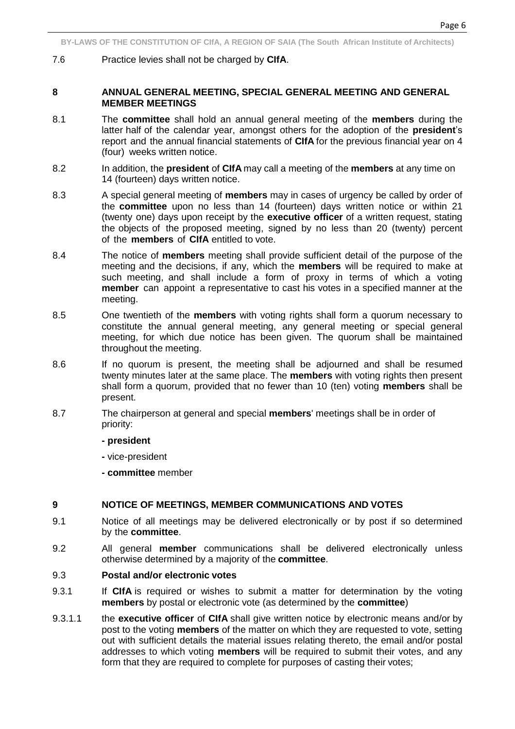7.6 Practice levies shall not be charged by **CIfA**.

## **8 ANNUAL GENERAL MEETING, SPECIAL GENERAL MEETING AND GENERAL MEMBER MEETINGS**

- 8.1 The **committee** shall hold an annual general meeting of the **members** during the latter half of the calendar year, amongst others for the adoption of the **president**'s report and the annual financial statements of **CIfA** for the previous financial year on 4 (four) weeks written notice.
- 8.2 In addition, the **president** of **CIfA** may call a meeting of the **members** at any time on 14 (fourteen) days written notice.
- 8.3 A special general meeting of **members** may in cases of urgency be called by order of the **committee** upon no less than 14 (fourteen) days written notice or within 21 (twenty one) days upon receipt by the **executive officer** of a written request, stating the objects of the proposed meeting, signed by no less than 20 (twenty) percent of the **members** of **CIfA** entitled to vote.
- 8.4 The notice of **members** meeting shall provide sufficient detail of the purpose of the meeting and the decisions, if any, which the **members** will be required to make at such meeting, and shall include a form of proxy in terms of which a voting **member** can appoint a representative to cast his votes in a specified manner at the meeting.
- 8.5 One twentieth of the **members** with voting rights shall form a quorum necessary to constitute the annual general meeting, any general meeting or special general meeting, for which due notice has been given. The quorum shall be maintained throughout the meeting.
- 8.6 If no quorum is present, the meeting shall be adjourned and shall be resumed twenty minutes later at the same place. The **members** with voting rights then present shall form a quorum, provided that no fewer than 10 (ten) voting **members** shall be present.
- 8.7 The chairperson at general and special **members**' meetings shall be in order of priority:
	- **- president**
	- **-** vice-president
	- **- committee** member

## **9 NOTICE OF MEETINGS, MEMBER COMMUNICATIONS AND VOTES**

- 9.1 Notice of all meetings may be delivered electronically or by post if so determined by the **committee**.
- 9.2 All general **member** communications shall be delivered electronically unless otherwise determined by a majority of the **committee**.

## 9.3 **Postal and/or electronic votes**

- 9.3.1 If CIfA is required or wishes to submit a matter for determination by the voting **members** by postal or electronic vote (as determined by the **committee**)
- 9.3.1.1 the **executive officer** of **CIfA** shall give written notice by electronic means and/or by post to the voting **members** of the matter on which they are requested to vote, setting out with sufficient details the material issues relating thereto, the email and/or postal addresses to which voting **members** will be required to submit their votes, and any form that they are required to complete for purposes of casting their votes;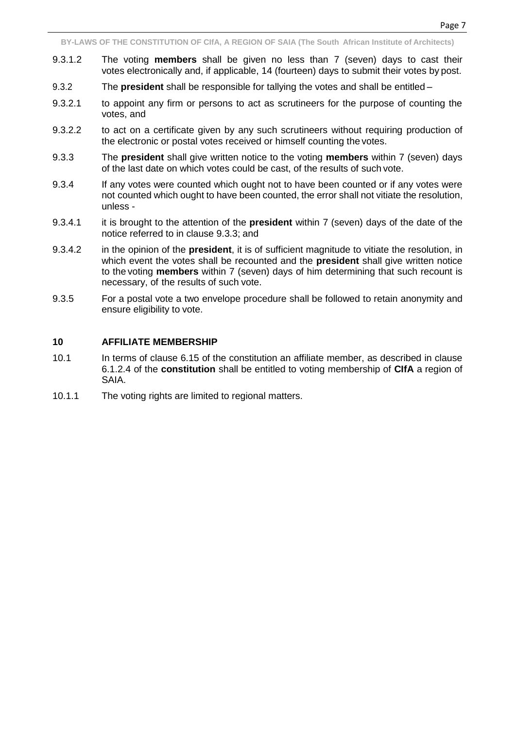- 9.3.1.2 The voting **members** shall be given no less than 7 (seven) days to cast their votes electronically and, if applicable, 14 (fourteen) days to submit their votes by post.
- 9.3.2 The **president** shall be responsible for tallying the votes and shall be entitled –
- 9.3.2.1 to appoint any firm or persons to act as scrutineers for the purpose of counting the votes, and
- 9.3.2.2 to act on a certificate given by any such scrutineers without requiring production of the electronic or postal votes received or himself counting the votes.
- 9.3.3 The **president** shall give written notice to the voting **members** within 7 (seven) days of the last date on which votes could be cast, of the results of such vote.
- 9.3.4 If any votes were counted which ought not to have been counted or if any votes were not counted which ought to have been counted, the error shall not vitiate the resolution, unless -
- 9.3.4.1 it is brought to the attention of the **president** within 7 (seven) days of the date of the notice referred to in clause 9.3.3; and
- 9.3.4.2 in the opinion of the **president**, it is of sufficient magnitude to vitiate the resolution, in which event the votes shall be recounted and the **president** shall give written notice to the voting **members** within 7 (seven) days of him determining that such recount is necessary, of the results of such vote.
- 9.3.5 For a postal vote a two envelope procedure shall be followed to retain anonymity and ensure eligibility to vote.

## **10 AFFILIATE MEMBERSHIP**

- 10.1 In terms of clause 6.15 of the constitution an affiliate member, as described in clause 6.1.2.4 of the **constitution** shall be entitled to voting membership of **CIfA** a region of SAIA.
- 10.1.1 The voting rights are limited to regional matters.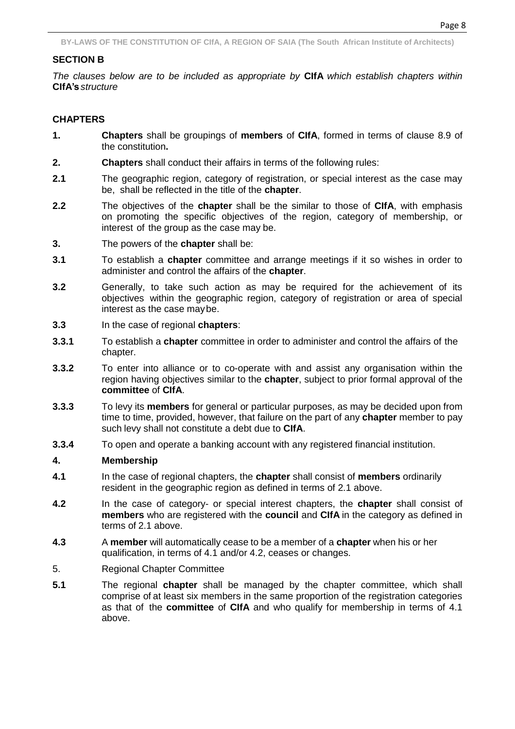## **SECTION B**

*The clauses below are to be included as appropriate by* **CIfA** *which establish chapters within* **CIfA's** *structure*

## **CHAPTERS**

- **1. Chapters** shall be groupings of **members** of **CIfA**, formed in terms of clause 8.9 of the constitution**.**
- **2. Chapters** shall conduct their affairs in terms of the following rules:
- **2.1** The geographic region, category of registration, or special interest as the case may be, shall be reflected in the title of the **chapter**.
- **2.2** The objectives of the **chapter** shall be the similar to those of **CIfA**, with emphasis on promoting the specific objectives of the region, category of membership, or interest of the group as the case may be.
- **3.** The powers of the **chapter** shall be:
- **3.1** To establish a **chapter** committee and arrange meetings if it so wishes in order to administer and control the affairs of the **chapter**.
- **3.2** Generally, to take such action as may be required for the achievement of its objectives within the geographic region, category of registration or area of special interest as the case maybe.
- **3.3** In the case of regional **chapters**:
- **3.3.1** To establish a **chapter** committee in order to administer and control the affairs of the chapter.
- **3.3.2** To enter into alliance or to co-operate with and assist any organisation within the region having objectives similar to the **chapter**, subject to prior formal approval of the **committee** of **CIfA**.
- **3.3.3** To levy its **members** for general or particular purposes, as may be decided upon from time to time, provided, however, that failure on the part of any **chapter** member to pay such levy shall not constitute a debt due to **CIfA**.
- **3.3.4** To open and operate a banking account with any registered financial institution.

## **4. Membership**

- **4.1** In the case of regional chapters, the **chapter** shall consist of **members** ordinarily resident in the geographic region as defined in terms of 2.1 above.
- **4.2** In the case of category- or special interest chapters, the **chapter** shall consist of **members** who are registered with the **council** and **CIfA** in the category as defined in terms of 2.1 above.
- **4.3** A **member** will automatically cease to be a member of a **chapter** when his or her qualification, in terms of 4.1 and/or 4.2, ceases or changes.
- 5. Regional Chapter Committee
- **5.1** The regional **chapter** shall be managed by the chapter committee, which shall comprise of at least six members in the same proportion of the registration categories as that of the **committee** of **CIfA** and who qualify for membership in terms of 4.1 above.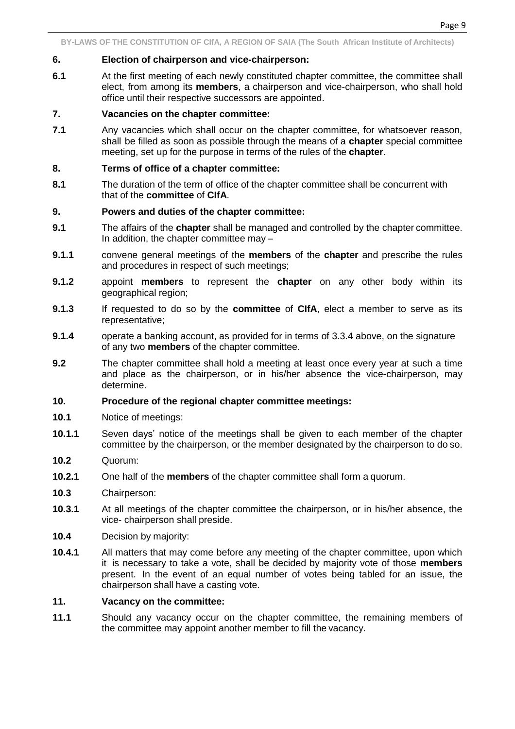#### **6. Election of chairperson and vice-chairperson:**

**6.1** At the first meeting of each newly constituted chapter committee, the committee shall elect, from among its **members**, a chairperson and vice-chairperson, who shall hold office until their respective successors are appointed.

## **7. Vacancies on the chapter committee:**

**7.1** Any vacancies which shall occur on the chapter committee, for whatsoever reason, shall be filled as soon as possible through the means of a **chapter** special committee meeting, set up for the purpose in terms of the rules of the **chapter**.

#### **8. Terms of office of a chapter committee:**

**8.1** The duration of the term of office of the chapter committee shall be concurrent with that of the **committee** of **CIfA**.

#### **9. Powers and duties of the chapter committee:**

- **9.1** The affairs of the **chapter** shall be managed and controlled by the chapter committee. In addition, the chapter committee may –
- **9.1.1** convene general meetings of the **members** of the **chapter** and prescribe the rules and procedures in respect of such meetings;
- **9.1.2** appoint **members** to represent the **chapter** on any other body within its geographical region;
- **9.1.3** If requested to do so by the **committee** of **CIfA**, elect a member to serve as its representative;
- **9.1.4** operate a banking account, as provided for in terms of 3.3.4 above, on the signature of any two **members** of the chapter committee.
- **9.2** The chapter committee shall hold a meeting at least once every year at such a time and place as the chairperson, or in his/her absence the vice-chairperson, may determine.

## **10. Procedure of the regional chapter committee meetings:**

- **10.1** Notice of meetings:
- **10.1.1** Seven days' notice of the meetings shall be given to each member of the chapter committee by the chairperson, or the member designated by the chairperson to do so.
- **10.2** Quorum:
- **10.2.1** One half of the **members** of the chapter committee shall form a quorum.
- **10.3** Chairperson:
- **10.3.1** At all meetings of the chapter committee the chairperson, or in his/her absence, the vice- chairperson shall preside.
- **10.4** Decision by majority:
- **10.4.1** All matters that may come before any meeting of the chapter committee, upon which it is necessary to take a vote, shall be decided by majority vote of those **members**  present. In the event of an equal number of votes being tabled for an issue, the chairperson shall have a casting vote.

## **11. Vacancy on the committee:**

**11.1** Should any vacancy occur on the chapter committee, the remaining members of the committee may appoint another member to fill the vacancy.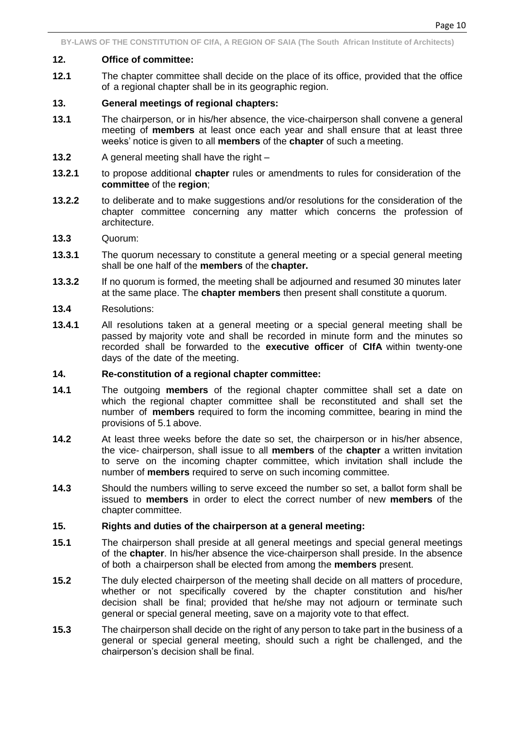#### **12. Office of committee:**

**12.1** The chapter committee shall decide on the place of its office, provided that the office of a regional chapter shall be in its geographic region.

#### **13. General meetings of regional chapters:**

- **13.1** The chairperson, or in his/her absence, the vice-chairperson shall convene a general meeting of **members** at least once each year and shall ensure that at least three weeks' notice is given to all **members** of the **chapter** of such a meeting.
- **13.2** A general meeting shall have the right –
- **13.2.1** to propose additional **chapter** rules or amendments to rules for consideration of the **committee** of the **region**;
- **13.2.2** to deliberate and to make suggestions and/or resolutions for the consideration of the chapter committee concerning any matter which concerns the profession of architecture.
- **13.3** Quorum:
- **13.3.1** The quorum necessary to constitute a general meeting or a special general meeting shall be one half of the **members** of the **chapter.**
- **13.3.2** If no quorum is formed, the meeting shall be adjourned and resumed 30 minutes later at the same place. The **chapter members** then present shall constitute a quorum.
- **13.4** Resolutions:
- **13.4.1** All resolutions taken at a general meeting or a special general meeting shall be passed by majority vote and shall be recorded in minute form and the minutes so recorded shall be forwarded to the **executive officer** of **CIfA** within twenty-one days of the date of the meeting.

#### **14. Re-constitution of a regional chapter committee:**

- **14.1** The outgoing **members** of the regional chapter committee shall set a date on which the regional chapter committee shall be reconstituted and shall set the number of **members** required to form the incoming committee, bearing in mind the provisions of 5.1 above.
- **14.2** At least three weeks before the date so set, the chairperson or in his/her absence, the vice- chairperson, shall issue to all **members** of the **chapter** a written invitation to serve on the incoming chapter committee, which invitation shall include the number of **members** required to serve on such incoming committee.
- **14.3** Should the numbers willing to serve exceed the number so set, a ballot form shall be issued to **members** in order to elect the correct number of new **members** of the chapter committee.

## **15. Rights and duties of the chairperson at a general meeting:**

- **15.1** The chairperson shall preside at all general meetings and special general meetings of the **chapter**. In his/her absence the vice-chairperson shall preside. In the absence of both a chairperson shall be elected from among the **members** present.
- **15.2** The duly elected chairperson of the meeting shall decide on all matters of procedure, whether or not specifically covered by the chapter constitution and his/her decision shall be final; provided that he/she may not adjourn or terminate such general or special general meeting, save on a majority vote to that effect.
- **15.3** The chairperson shall decide on the right of any person to take part in the business of a general or special general meeting, should such a right be challenged, and the chairperson's decision shall be final.